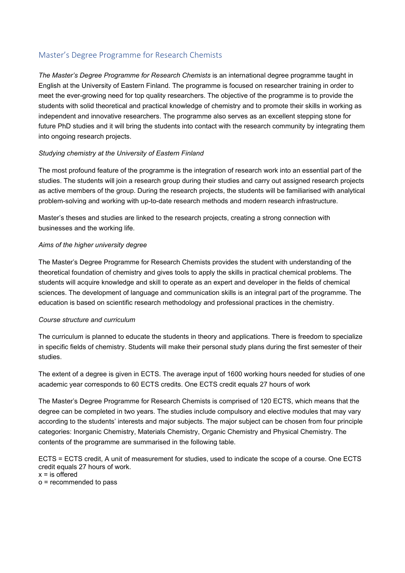# Master's Degree Programme for Research Chemists

*The Master's Degree Programme for Research Chemists* is an international degree programme taught in English at the University of Eastern Finland. The programme is focused on researcher training in order to meet the ever-growing need for top quality researchers. The objective of the programme is to provide the students with solid theoretical and practical knowledge of chemistry and to promote their skills in working as independent and innovative researchers. The programme also serves as an excellent stepping stone for future PhD studies and it will bring the students into contact with the research community by integrating them into ongoing research projects.

#### *Studying chemistry at the University of Eastern Finland*

The most profound feature of the programme is the integration of research work into an essential part of the studies. The students will join a research group during their studies and carry out assigned research projects as active members of the group. During the research projects, the students will be familiarised with analytical problem-solving and working with up-to-date research methods and modern research infrastructure.

Master's theses and studies are linked to the research projects, creating a strong connection with businesses and the working life.

#### *Aims of the higher university degree*

The Master's Degree Programme for Research Chemists provides the student with understanding of the theoretical foundation of chemistry and gives tools to apply the skills in practical chemical problems. The students will acquire knowledge and skill to operate as an expert and developer in the fields of chemical sciences. The development of language and communication skills is an integral part of the programme. The education is based on scientific research methodology and professional practices in the chemistry.

#### *Course structure and curriculum*

The curriculum is planned to educate the students in theory and applications. There is freedom to specialize in specific fields of chemistry. Students will make their personal study plans during the first semester of their studies.

The extent of a degree is given in ECTS. The average input of 1600 working hours needed for studies of one academic year corresponds to 60 ECTS credits. One ECTS credit equals 27 hours of work

The Master's Degree Programme for Research Chemists is comprised of 120 ECTS, which means that the degree can be completed in two years. The studies include compulsory and elective modules that may vary according to the students' interests and major subjects. The major subject can be chosen from four principle categories: Inorganic Chemistry, Materials Chemistry, Organic Chemistry and Physical Chemistry. The contents of the programme are summarised in the following table.

ECTS = ECTS credit, A unit of measurement for studies, used to indicate the scope of a course. One ECTS credit equals 27 hours of work.

 $x =$  is offered

o = recommended to pass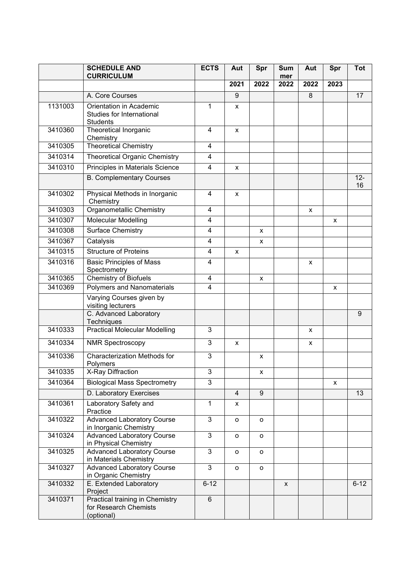|         | <b>SCHEDULE AND</b><br><b>CURRICULUM</b>                                      | <b>ECTS</b>             | Aut                 | Spr            | <b>Sum</b><br>mer | Aut  | Spr          | <b>Tot</b>   |
|---------|-------------------------------------------------------------------------------|-------------------------|---------------------|----------------|-------------------|------|--------------|--------------|
|         |                                                                               |                         | 2021                | 2022           | 2022              | 2022 | 2023         |              |
|         | A. Core Courses                                                               |                         | 9                   |                |                   | 8    |              | 17           |
| 1131003 | Orientation in Academic<br>Studies for International<br><b>Students</b>       | 1                       | x                   |                |                   |      |              |              |
| 3410360 | Theoretical Inorganic<br>Chemistry                                            | 4                       | X                   |                |                   |      |              |              |
| 3410305 | <b>Theoretical Chemistry</b>                                                  | 4                       |                     |                |                   |      |              |              |
| 3410314 | <b>Theoretical Organic Chemistry</b>                                          | 4                       |                     |                |                   |      |              |              |
| 3410310 | Principles in Materials Science                                               | 4                       | x                   |                |                   |      |              |              |
|         | <b>B. Complementary Courses</b>                                               |                         |                     |                |                   |      |              | $12 -$<br>16 |
| 3410302 | Physical Methods in Inorganic<br>Chemistry                                    | 4                       | x                   |                |                   |      |              |              |
| 3410303 | <b>Organometallic Chemistry</b>                                               | 4                       |                     |                |                   | X    |              |              |
| 3410307 | <b>Molecular Modelling</b>                                                    | $\overline{\mathbf{4}}$ |                     |                |                   |      | X            |              |
| 3410308 | <b>Surface Chemistry</b>                                                      | $\overline{\mathbf{4}}$ |                     | X              |                   |      |              |              |
| 3410367 | Catalysis                                                                     | 4                       |                     | x              |                   |      |              |              |
| 3410315 | <b>Structure of Proteins</b>                                                  | $\overline{\mathbf{4}}$ | X                   |                |                   |      |              |              |
| 3410316 | <b>Basic Principles of Mass</b><br>Spectrometry                               | 4                       |                     |                |                   | X    |              |              |
| 3410365 | <b>Chemistry of Biofuels</b>                                                  | 4                       |                     | X              |                   |      |              |              |
| 3410369 | <b>Polymers and Nanomaterials</b>                                             | $\overline{4}$          |                     |                |                   |      | X            |              |
|         | Varying Courses given by<br>visiting lecturers                                |                         |                     |                |                   |      |              |              |
|         | C. Advanced Laboratory<br>Techniques                                          |                         |                     |                |                   |      |              | 9            |
| 3410333 | <b>Practical Molecular Modelling</b>                                          | 3                       |                     |                |                   | x    |              |              |
| 3410334 | <b>NMR Spectroscopy</b>                                                       | 3                       | X                   |                |                   | X    |              |              |
| 3410336 | Characterization Methods for<br>Polymers                                      | 3                       |                     | x              |                   |      |              |              |
| 3410335 | <b>X-Ray Diffraction</b>                                                      | 3                       |                     | x              |                   |      |              |              |
| 3410364 | <b>Biological Mass Spectrometry</b>                                           | 3                       |                     |                |                   |      | $\mathsf{x}$ |              |
|         | D. Laboratory Exercises                                                       |                         | $\overline{4}$      | $\overline{9}$ |                   |      |              | 13           |
| 3410361 | Laboratory Safety and<br>Practice                                             | 1                       | X                   |                |                   |      |              |              |
| 3410322 | <b>Advanced Laboratory Course</b><br>in Inorganic Chemistry                   | $\mathbf{3}$            | $\mathsf{o}\xspace$ | o              |                   |      |              |              |
| 3410324 | <b>Advanced Laboratory Course</b><br>in Physical Chemistry                    | $\mathbf{3}$            | o                   | o              |                   |      |              |              |
| 3410325 | <b>Advanced Laboratory Course</b><br>in Materials Chemistry                   | 3                       | o                   | 0              |                   |      |              |              |
| 3410327 | <b>Advanced Laboratory Course</b><br>in Organic Chemistry                     | $\overline{3}$          | o                   | o              |                   |      |              |              |
| 3410332 | E. Extended Laboratory<br>Project                                             | $6 - 12$                |                     |                | X                 |      |              | $6 - 12$     |
| 3410371 | <b>Practical training in Chemistry</b><br>for Research Chemists<br>(optional) | $\overline{6}$          |                     |                |                   |      |              |              |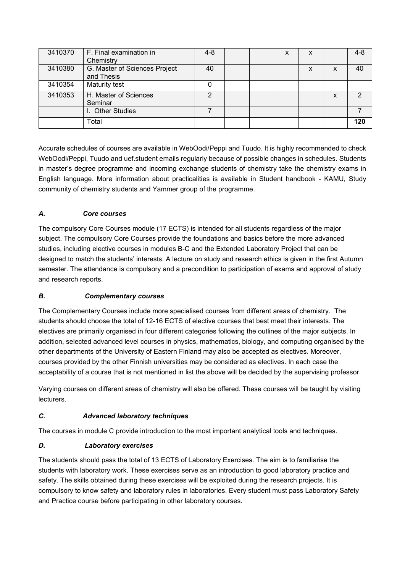| 3410370 | F. Final examination in       | $4 - 8$ |  | X | x |   | $4 - 8$ |
|---------|-------------------------------|---------|--|---|---|---|---------|
|         | Chemistry                     |         |  |   |   |   |         |
| 3410380 | G. Master of Sciences Project | 40      |  |   | X | X | 40      |
|         | and Thesis                    |         |  |   |   |   |         |
| 3410354 | <b>Maturity test</b>          |         |  |   |   |   |         |
| 3410353 | H. Master of Sciences         | 2       |  |   |   | x |         |
|         | Seminar                       |         |  |   |   |   |         |
|         | I. Other Studies              |         |  |   |   |   |         |
|         | Total                         |         |  |   |   |   | 120     |

Accurate schedules of courses are available in WebOodi/Peppi and Tuudo. It is highly recommended to check WebOodi/Peppi, Tuudo and uef.student emails regularly because of possible changes in schedules. Students in master's degree programme and incoming exchange students of chemistry take the chemistry exams in English language. More information about practicalities is available in Student handbook - KAMU, Study community of chemistry students and Yammer group of the programme.

## *A. Core courses*

The compulsory Core Courses module (17 ECTS) is intended for all students regardless of the major subject. The compulsory Core Courses provide the foundations and basics before the more advanced studies, including elective courses in modules B-C and the Extended Laboratory Project that can be designed to match the students' interests. A lecture on study and research ethics is given in the first Autumn semester. The attendance is compulsory and a precondition to participation of exams and approval of study and research reports.

#### *B. Complementary courses*

The Complementary Courses include more specialised courses from different areas of chemistry. The students should choose the total of 12-16 ECTS of elective courses that best meet their interests. The electives are primarily organised in four different categories following the outlines of the major subjects. In addition, selected advanced level courses in physics, mathematics, biology, and computing organised by the other departments of the University of Eastern Finland may also be accepted as electives. Moreover, courses provided by the other Finnish universities may be considered as electives. In each case the acceptability of a course that is not mentioned in list the above will be decided by the supervising professor.

Varying courses on different areas of chemistry will also be offered. These courses will be taught by visiting lecturers.

# *C. Advanced laboratory techniques*

The courses in module C provide introduction to the most important analytical tools and techniques.

## *D. Laboratory exercises*

The students should pass the total of 13 ECTS of Laboratory Exercises. The aim is to familiarise the students with laboratory work. These exercises serve as an introduction to good laboratory practice and safety. The skills obtained during these exercises will be exploited during the research projects. It is compulsory to know safety and laboratory rules in laboratories. Every student must pass Laboratory Safety and Practice course before participating in other laboratory courses.